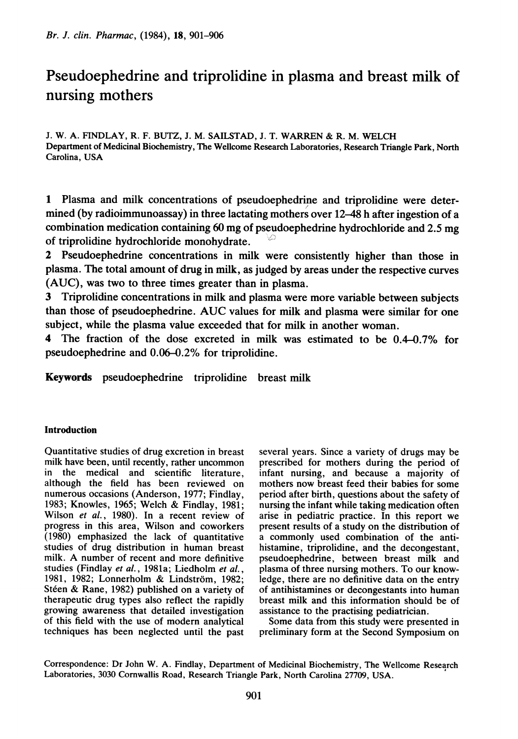# Pseudoephedrine and triprolidine in plasma and breast milk of nursing mothers

J. W. A. FINDLAY, R. F. BUTZ, J. M. SAILSTAD, J. T. WARREN & R. M. WELCH Department of Medicinal Biochemistry, The Wellcome Research Laboratories, Research Triangle Park, North Carolina, USA

<sup>1</sup> Plasma and milk concentrations of pseudoephedrine and triprolidine were determined (by radioimmunoassay) in three lactating mothers over 12-48 h after ingestion of a combination medication containing <sup>60</sup> mg of pseudoephedrine hydrochloride and 2.5 mg of triprolidine hydrochloride monohydrate.

2 Pseudoephedrine concentrations in milk were consistently higher than those in plasma. The total amount of drug in milk, as judged by areas under the respective curves (AUC), was two to three times greater than in plasma.

3 Triprolidine concentrations in milk and plasma were more variable between subjects than those of pseudoephedrine. AUC values for milk and plasma were similar for one subject, while the plasma value exceeded that for milk in another woman.

4 The fraction of the dose excreted in milk was estimated to be 0.4-0.7% for pseudoephedrine and 0.06-0.2% for triprolidine.

Keywords pseudoephedrine triprolidine breast milk

## Introduction

Quantitative studies of drug excretion in breast milk have been, until recently, rather uncommon in the medical and scientific literature, although the field has been reviewed on numerous occasions (Anderson, 1977; Findlay, 1983; Knowles, 1965; Welch & Findlay, 1981; Wilson et al., 1980). In a recent review of progress in this area, Wilson and coworkers (1980) emphasized the lack of quantitative studies of drug distribution in human breast milk. A number of recent and more definitive studies (Findlay et al., 1981a; Liedholm et al., 1981, 1982; Lonnerholm & Lindström, 1982; Stéen & Rane, 1982) published on a variety of therapeutic drug types also reflect the rapidly growing awareness that detailed investigation of this field with the use of modern analytical techniques has been neglected until the past

several years. Since a variety of drugs may be prescribed for mothers during the period of infant nursing, and because a majority of mothers now breast feed their babies for some period after birth, questions about the safety of nursing the infant while taking medication often arise in pediatric practice. In this report we present results of a study on the distribution of a commonly used combination of the antihistamine, triprolidine, and the decongestant, pseudoephedrine, between breast milk and plasma of three nursing mothers. To our knowledge, there are no definitive data on the entry of antihistamines or decongestants into human breast milk and this information should be of assistance to the practising pediatrician.

Some data from this study were presented in preliminary form at the Second Symposium on

Correspondence: Dr John W. A. Findlay, Department of Medicinal Biochemistry, The Wellcome Research Laboratories, 3030 Cornwallis Road, Research Triangle Park, North Carolina 27709, USA.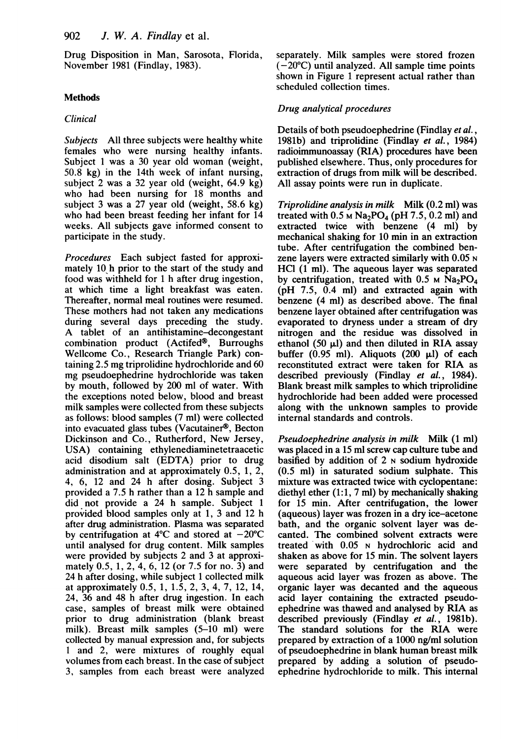Drug Disposition in Man, Sarosota, Florida, November 1981 (Findlay, 1983).

# Methods

## Clinical

Subjects All three subjects were healthy white females who were nursing healthy infants. Subject <sup>1</sup> was <sup>a</sup> 30 year old woman (weight, 50.8 kg) in the 14th week of infant nursing, subject 2 was a 32 year old (weight, 64.9 kg) who had been nursing for 18 months and subject 3 was a 27 year old (weight, 58.6 kg) who had been breast feeding her infant for 14 weeks. All subjects gave informed consent to participate in the study.

Procedures Each subject fasted for approximately 10 h prior to the start of the study and food was withheld for <sup>1</sup> h after drug ingestion, at which time a light breakfast was eaten. Thereafter, normal meal routines were resumed. These mothers had not taken any medications during several days preceding the study. A tablet of an antihistamine-decongestant combination product (Actifed®, Burroughs Wellcome Co., Research Triangle Park) containing 2.5 mg triprolidine hydrochloride and 60 mg pseudoephedrine hydrochloride was taken by mouth, followed by 200 ml of water. With the exceptions noted below, blood and breast milk samples were collected from these subjects as follows: blood samples (7 ml) were collected into evacuated glass tubes (Vacutainer®, Becton Dickinson and Co., Rutherford, New Jersey, USA) containing ethylenediaminetetraacetic acid disodium salt (EDTA) prior to drug administration and at approximately 0.5, 1, 2, 4, 6, 12 and 24 h after dosing. Subject 3 provided a 7.5 h rather than a 12 h sample and did not provide a 24 h sample. Subject <sup>1</sup> provided blood samples only at 1, 3 and 12 h after drug administration. Plasma was separated by centrifugation at 4<sup>o</sup>C and stored at  $-20^{\circ}$ C until analysed for drug content. Milk samples were provided by subjects 2 and 3 at approximately 0.5, 1, 2, 4, 6, 12 (or 7.5 for no. 3) and 24 h after dosing, while subject <sup>1</sup> collected milk at approximately 0.5, 1, 1.5, 2, 3, 4, 7, 12, 14, 24, 36 and 48 h after drug ingestion. In each case, samples of breast milk were obtained prior to drug administration (blank breast milk). Breast milk samples (5-10 ml) were collected by manual expression and, for subjects <sup>1</sup> and 2, were mixtures of roughly equal volumes from each breast. In the case of subject 3, samples from each breast were analyzed separately. Milk samples were stored frozen  $(-20^{\circ}C)$  until analyzed. All sample time points shown in Figure <sup>1</sup> represent actual rather than scheduled collection times.

# Drug analytical procedures

Details of both pseudoephedrine (Findlay et al., 1981b) and triprolidine (Findlay et al., 1984) radioimmunoassay (RIA) procedures have been published elsewhere. Thus, only procedures for extraction of drugs from milk will be described. All assay points were run in duplicate.

Triprolidine analysis in milk Milk (0.2 ml) was treated with  $0.5 \text{ M Na}_2\text{PO}_4$  (pH 7.5, 0.2 ml) and extracted twice with benzene (4 ml) by mechanical shaking for 10 min in an extraction tube. After centrifugation the combined benzene layers were extracted similarly with 0.05 N HCl (1 ml). The aqueous layer was separated by centrifugation, treated with  $0.5$  M Na<sub>2</sub>PO<sub>4</sub> (pH 7.5, 0.4 ml) and extracted again with benzene (4 ml) as described above. The final benzene layer obtained after centrifugation was evaporated to dryness under a stream of dry nitrogen and the residue was dissolved in ethanol (50  $\mu$ l) and then diluted in RIA assay buffer (0.95 ml). Aliquots (200  $\mu$ l) of each reconstituted extract were taken for RIA as described previously (Findlay et al., 1984). Blank breast milk samples to which triprolidine hydrochloride had been added were processed along with the unknown samples to provide internal standards and controls.

Pseudoephedrine analysis in milk Milk (1 ml) was placed in a 15 ml screw cap culture tube and basified by addition of  $2 \text{ N}$  sodium hydroxide (0.5 ml) in saturated sodium sulphate. This mixture was extracted twice with cyclopentane: diethyl ether (1:1, 7 ml) by mechanically shaking for 15 min. After centrifugation, the lower (aqueous) layer was frozen in a dry ice-acetone bath, and the organic solvent layer was decanted. The combined solvent extracts were treated with 0.05 N hydrochloric acid and shaken as above for 15 min. The solvent layers were separated by centrifugation and the aqueous acid layer was frozen as above. The organic layer was decanted and the aqueous acid layer containing the extracted pseudoephedrine was thawed and analysed by RIA as described previously (Findlay et al., 1981b). The standard solutions for the RIA were prepared by extraction of a 1000 ng/ml solution of pseudoephedrine in blank human breast milk prepared by adding a solution of pseudoephedrine hydrochloride to milk. This internal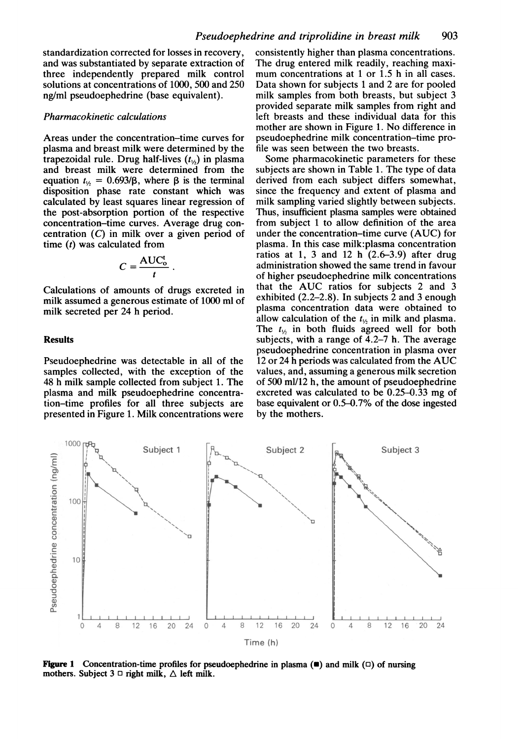standardization corrected for losses in recovery, and was substantiated by separate extraction of three independently prepared milk control solutions at concentrations of 1000, 500 and 250 ng/ml pseudoephedrine (base equivalent).

#### Pharmacokinetic calculations

Areas under the concentration-time curves for plasma and breast milk were determined by the trapezoidal rule. Drug half-lives  $(t_{1/2})$  in plasma and breast milk were determined from the equation  $t_{1/2} = 0.693/\beta$ , where  $\beta$  is the terminal disposition phase rate constant which was calculated by least squares linear regression of the post-absorption portion of the respective concentration-time curves. Average drug concentration (C) in milk over a given period of time  $(t)$  was calculated from

$$
C = \frac{\text{AUC}_o^t}{t}
$$

Calculations of amounts of drugs excreted in milk assumed a generous estimate of 1000 ml of milk secreted per 24 h period.

## Results

Pseudoephedrine was detectable in all of the samples collected, with the exception of the 48 h milk sample collected from subject 1. The plasma and milk pseudoephedrine concentration-time profiles for all three subjects are presented in Figure 1. Milk concentrations were consistently higher than plasma concentrations. The drug entered milk readily, reaching maximum concentrations at 1 or 1.5 h in all cases. Data shown for subjects <sup>1</sup> and 2 are for pooled milk samples from both breasts, but subject 3 provided separate milk samples from right and left breasts and these individual data for this mother are shown in Figure 1. No difference in pseudoephedrine milk concentration-time profile was seen between the two breasts.

Some pharmacokinetic parameters for these subjects are shown in Table 1. The type of data derived from each subject differs somewhat, since the frequency and extent of plasma and milk sampling varied slightly between subjects. Thus, insufficient plasma samples were obtained from subject <sup>1</sup> to allow definition of the area under the concentration-time curve (AUC) for plasma. In this case milk:plasma concentration ratios at 1, 3 and 12 h  $(2.6-3.9)$  after drug administration showed the same trend in favour of higher pseudoephedrine milk concentrations that the AUC ratios for subjects <sup>2</sup> and <sup>3</sup> exhibited (2.2-2.8). In subjects 2 and 3 enough plasma concentration data were obtained to allow calculation of the  $t_{1/2}$  in milk and plasma. The  $t_{1/2}$  in both fluids agreed well for both subjects, with a range of 4.2-7 h. The average pseudoephedrine concentration in plasma over <sup>12</sup> or <sup>24</sup> <sup>h</sup> periods was calculated from the AUC values, and, assuming a generous milk secretion of 500 ml/12 h, the amount of pseudoephedrine excreted was calculated to be 0.25-0.33 mg of base equivalent or 0.5-0.7% of the dose ingested by the mothers.



**Figure 1** Concentration-time profiles for pseudoephedrine in plasma  $(\blacksquare)$  and milk  $(\square)$  of nursing mothers. Subject  $3 \Box$  right milk,  $\triangle$  left milk.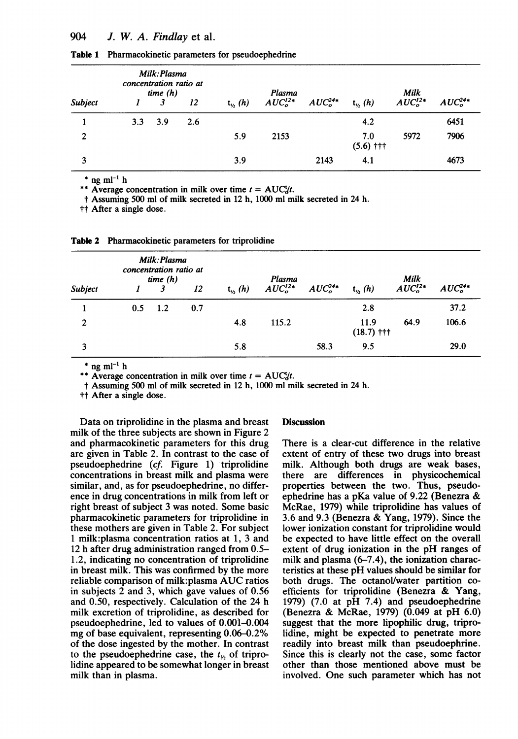|                | Milk: Plasma<br>concentration ratio at<br>time $(h)$ |     |     | Plasma                       |           |           |                    |           |           |
|----------------|------------------------------------------------------|-----|-----|------------------------------|-----------|-----------|--------------------|-----------|-----------|
| Subject        |                                                      |     | 12  | $t_{\prime\prime\prime}$ (h) | $AUCo12*$ | $AUCo24*$ | $t_{\nu}$ (h)      | $AUCo12*$ | $AUCo24*$ |
|                | 3.3                                                  | 3.9 | 2.6 |                              |           |           | 4.2                |           | 6451      |
| $\overline{2}$ |                                                      |     |     | 5.9                          | 2153      |           | 7.0<br>$(5.6)$ ††† | 5972      | 7906      |
| 3              |                                                      |     |     | 3.9                          |           | 2143      | 4.1                |           | 4673      |

Table 1 Pharmacokinetic parameters for pseudoephedrine

\* ng m $l^{-1}$  h

\*\* Average concentration in milk over time  $t = AUC_t^t$ .

t Assuming 500 ml of milk secreted in 12 h, 1000 ml milk secreted in 24 h.

tt After a single dose.

| Table 2 Pharmacokinetic parameters for triprolidine |  |  |
|-----------------------------------------------------|--|--|
|                                                     |  |  |

|              | Milk: Plasma<br>concentration ratio at<br>time $(h)$ |     |     | Plasma          |           |           | Milk                                        |           |           |
|--------------|------------------------------------------------------|-----|-----|-----------------|-----------|-----------|---------------------------------------------|-----------|-----------|
| Subject      |                                                      |     | 12  | $t_{\nu_2}$ (h) | $AUCo12*$ | $AUCo24*$ | $t_{\kappa}$ (h)                            | $AUCo12*$ | $AUC024*$ |
|              | 0.5                                                  | 1.2 | 0.7 |                 |           |           | 2.8                                         |           | 37.2      |
| $\mathbf{2}$ |                                                      |     |     | 4.8             | 115.2     |           | 11.9<br>$(18.7)$ $\uparrow\uparrow\uparrow$ | 64.9      | 106.6     |
| 3            |                                                      |     |     | 5.8             |           | 58.3      | 9.5                                         |           | 29.0      |

 $*$  ng ml<sup>-1</sup> h

\*\* Average concentration in milk over time  $t = AUC_{d}^{t}t$ .

t Assuming 500 ml of milk secreted in 12 h, 1000 ml milk secreted in 24 h.

tt After a single dose.

Data on triprolidine in the plasma and breast milk of the three subjects are shown in Figure 2 and pharmacokinetic parameters for this drug are given in Table 2. In contrast to the case of pseudoephedrine (cf. Figure 1) triprolidine concentrations in breast milk and plasma were similar, and, as for pseudoephedrine, no difference in drug concentrations in milk from left or right breast of subject 3 was noted. Some basic pharmacokinetic parameters for triprolidine in these mothers are given in Table 2. For subject <sup>1</sup> milk:plasma concentration ratios at 1, 3 and 12 h after drug administration ranged from 0.5- 1.2, indicating no concentration of triprolidine in breast milk. This was confirmed by the more reliable comparison of milk:plasma AUC ratios in subjects 2 and 3, which gave values of 0.56 and 0.50, respectively. Calculation of the 24 h milk excretion of triprolidine, as described for pseudoephedrine, led to values of 0.001-0.004 mg of base equivalent, representing 0.06-0.2% of the dose ingested by the mother. In contrast to the pseudoephedrine case, the  $t_{1/2}$  of triprolidine appeared to be somewhat longer in breast milk than in plasma.

## **Discussion**

There is a clear-cut difference in the relative extent of entry of these two drugs into breast milk. Although both drugs are weak bases, there are differences in physicochemical properties between the two. Thus, pseudoephedrine has <sup>a</sup> pKa value of 9.22 (Benezra & McRae, 1979) while triprolidine has values of 3.6 and 9.3 (Benezra & Yang, 1979). Since the lower ionization constant for triprolidine would be expected to have little effect on the overall extent of drug ionization in the pH ranges of milk and plasma (6-7.4), the ionization characteristics at these pH values should be similar for both drugs. The octanol/water partition coefficients for triprolidine (Benezra & Yang, 1979) (7.0 at pH 7.4) and pseudoephedrine (Benezra & McRae, 1979) (0.049 at pH 6.0) suggest that the more lipophilic drug, triprolidine, might be expected to penetrate more readily into breast milk than pseudoephrine. Since this is clearly not the case, some factor other than those mentioned above must be involved. One such parameter which has not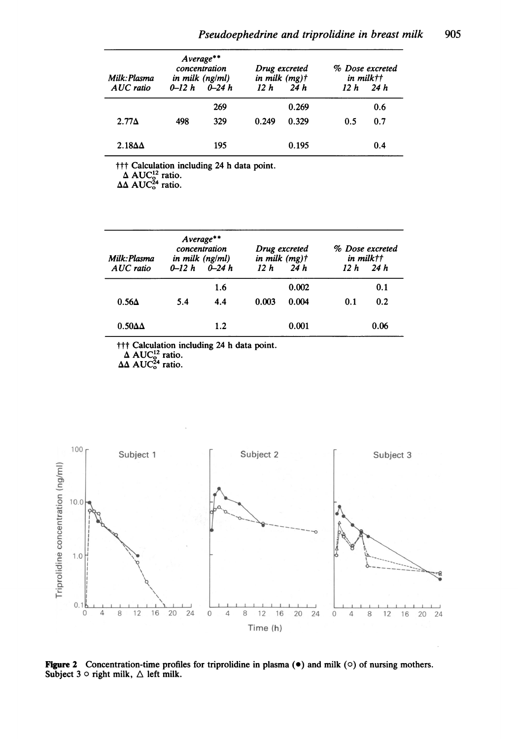| Milk: Plasma<br>AUC ratio | $Average**$<br>concentration<br>in milk $(ng/ml)$<br>$0-12 h$ $0-24 h$ |            | Drug excreted<br>in milk $(mg)$ t<br>12h<br>24h |                | % Dose excreted<br>in milk††<br>12h<br>24 h |            |
|---------------------------|------------------------------------------------------------------------|------------|-------------------------------------------------|----------------|---------------------------------------------|------------|
| $2.77\Delta$              | 498                                                                    | 269<br>329 | 0.249                                           | 0.269<br>0.329 | 0.5                                         | 0.6<br>0.7 |
| $2.18\Delta\Delta$        |                                                                        | 195        |                                                 | 0.195          |                                             | 0.4        |

t T Calculation including 24 h data point.<br>
Δ AUC<sup>12</sup> ratio.<br>
ΔΔ AUC<sup>24</sup> ratio.

| Milk: Plasma<br>AUC ratio | $0 - 12h$ | Average**<br>concentration<br>in milk $(ng/ml)$<br>$0 - 24h$ | Drug excreted<br>in milk $(mg)$ t<br>12h<br>24 h |       | % Dose excreted<br>in milktt<br>12h<br>24h |      |
|---------------------------|-----------|--------------------------------------------------------------|--------------------------------------------------|-------|--------------------------------------------|------|
|                           |           | 1.6                                                          |                                                  | 0.002 |                                            | 0.1  |
| $0.56\Delta$              | 5.4       | 4.4                                                          | 0.003                                            | 0.004 | 0.1                                        | 0.2  |
| $0.50\Delta\Delta$        |           | 1.2                                                          |                                                  | 0.001 |                                            | 0.06 |

††† Calculation including 24 h data point.<br>Δ AUC<sup>12</sup> ratio.

 $\Delta\Delta$  AUC<sup>24</sup> ratio.



Figure 2 Concentration-time profiles for triprolidine in plasma  $(\bullet)$  and milk  $(\circ)$  of nursing mothers. Subject  $3 \circ$  right milk,  $\triangle$  left milk.